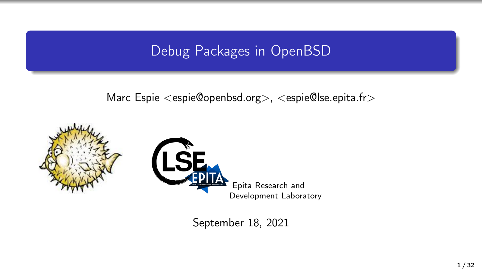### Debug Packages in OpenBSD

Marc Espie <espie@openbsd.org>, <espie@lse.epita.fr>





September 18, 2021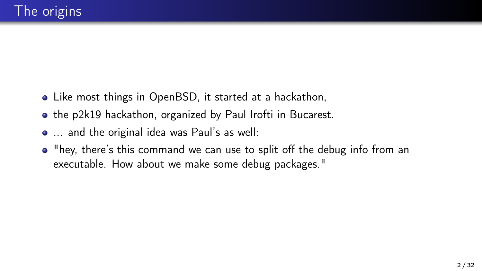- Like most things in OpenBSD, it started at a hackathon,
- the p2k19 hackathon, organized by Paul Irofti in Bucarest.
- ... and the original idea was Paul's as well:
- "hey, there's this command we can use to split off the debug info from an executable. How about we make some debug packages."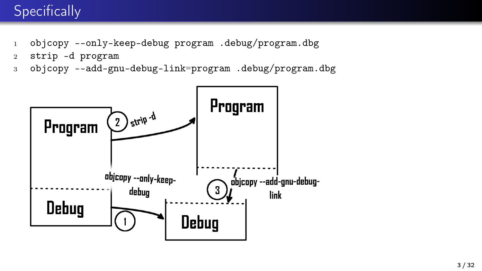# **Specifically**

- <sup>1</sup> objcopy --only-keep-debug program .debug/program.dbg
- <sup>2</sup> strip -d program
- <sup>3</sup> objcopy --add-gnu-debug-link=program .debug/program.dbg

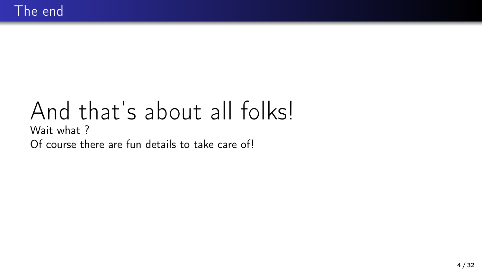# And that's about all folks! Wait what ? Of course there are fun details to take care of!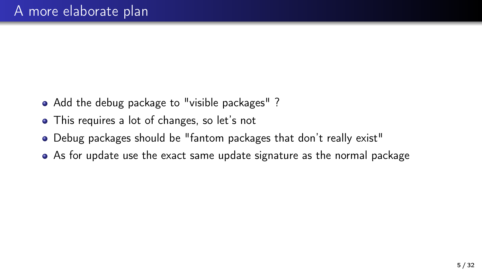- Add the debug package to "visible packages"?
- This requires a lot of changes, so let's not
- Debug packages should be "fantom packages that don't really exist"
- As for update use the exact same update signature as the normal package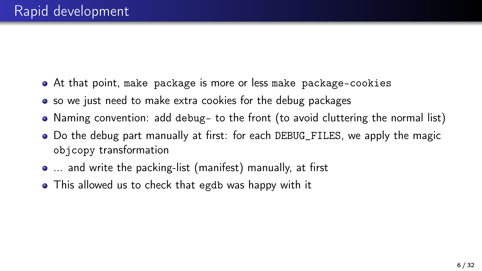- At that point, make package is more or less make package-cookies
- so we just need to make extra cookies for the debug packages
- Naming convention: add debug- to the front (to avoid cluttering the normal list)
- Do the debug part manually at first: for each DEBUG\_FILES, we apply the magic objcopy transformation
- ... and write the packing-list (manifest) manually, at first
- This allowed us to check that egdb was happy with it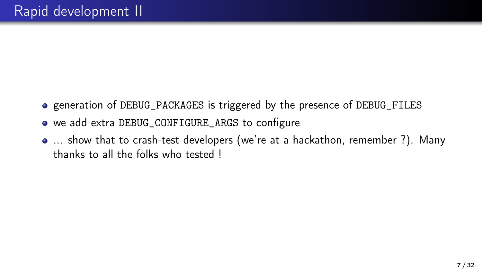- generation of DEBUG\_PACKAGES is triggered by the presence of DEBUG\_FILES
- we add extra DEBUG\_CONFIGURE\_ARGS to configure
- ... show that to crash-test developers (we're at a hackathon, remember ?). Many thanks to all the folks who tested !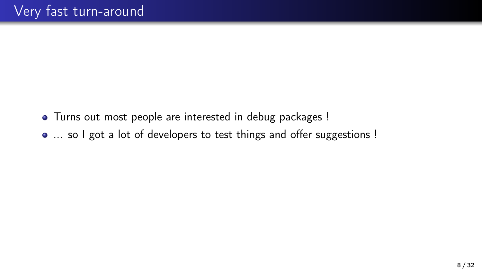- Turns out most people are interested in debug packages !
- ... so I got a lot of developers to test things and offer suggestions !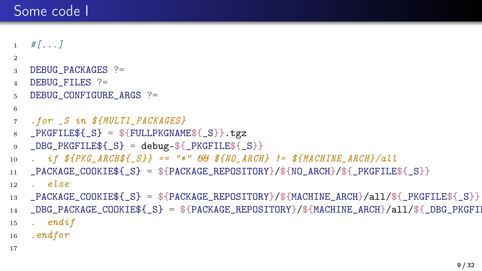## Some code I

```
#[...]
2
3 DEBUG PACKAGES ?=
4 DEBUG FILES ?=
5 DEBUG_CONFIGURE_ARGS ?=
6
7 .for _S in ${MULTI_PACKAGES}
8 \anglePKGFILE${\angleS} = ${FULLPKGNAME${\angleS}}.tgz
9 \angleDBG\anglePKGFILE${\angleS} = debug-${\anglePKGFILE${\angleS}}
10 . if $fPKG_ARCH$f_S} == "*" \theta\theta $fNO_ARCH} != $fMACHINE_ARCH}/a1111 _PACKAGE_COOKIE${_S} = ${PACKAGE_REPOSITORY}/${NO_ARCH}/${_PKGFILE${_S}}
12 . else
13 _PACKAGE_COOKIE${_S} = ${PACKAGE_REPOSITORY}/${MACHINE_ARCH}/all/${_PKGFILE${_S}}
14 _DBG_PACKAGE_COOKIE${_S} = ${PACKAGE_REPOSITORY}/${MACHINE_ARCH}/all/${_DBG_PKGFII
15 . endif
16 .endfor
17
```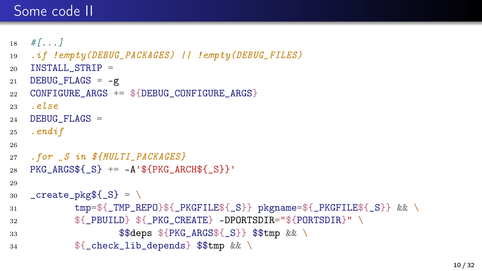# Some code II

```
18 \quad # \quad \ldots \quad 119 .if !empty(DEBUG_PACKAGES) || !empty(DEBUG_FILES)
20 INSTALL STRIP =
21 DEBUG_FLAGS = -g22 CONFIGURE ARGS += ${DEBUG CONFIGURE ARGS}
23 2224 DEBUG_FLAGS =
25 . endif
26
27 . for _S in ${MULTI_PACKAGES}
28 PKG ARGS$\{S\} += -A'\$\{PKG ARCH$\{S\}}'
29
30 \text{create}_pkg${S} = \
31 tmp=${_TMP_REPO}${_PKGFILE${_S}} pkgname=${_PKGFILE${_S}} && \
32 \frac{1}{3} \frac{1}{2} \frac{1}{2} \frac{1}{2} \frac{1}{2} \frac{1}{2} \frac{1}{2} \frac{1}{2} \frac{1}{2} \frac{1}{2} \frac{1}{2} \frac{1}{2} \frac{1}{2} \frac{1}{2} \frac{1}{2} \frac{1}{2} \frac{1}{2} \frac{1}{2} \frac{1}{2} \frac{1}{2} \frac{1}{2} \frac{1}{2}33 $$deps ${PKG_ARGS${_S}} $$tmp && \
34 ${_check_lib_depends} $$tmp && \
```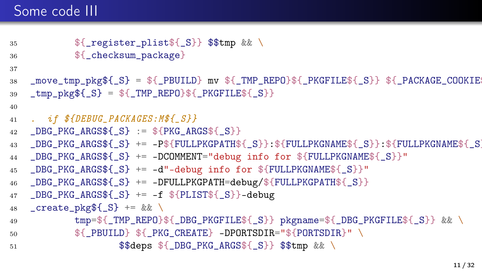# Some code III

```
35 ${ register plist${ S}} $$tmp && \
36 ${ checksum package}
37
38 _move_tmp_pkg${_S} = ${_PBUILD} mv ${_TMP_REPO}${_PKGFILE${_S}} ${_PACKAGE_COOKIE${_S}}
39 \text{tmp} \text{pkg$(S) = $_{\text{m}}\text{tmp} \text{REPO}(\\{_{\text{m}}\text{R} \text{p}_{\text{K}}\text{G} \text{FILE}(S)40
41 . if ${DEBUG_PACKAGES:M${_S}}
42 DBG PKG ARGS${S} := ${PKG ARGS${S}}
43 _DBG_PKG_ARGS${_S} += -P${FULLPKGPATH${_S}}:${FULLPKGNAME${_S}}:${FULLPKGNAME${_S}}
44 _DBG_PKG_ARGS${_S} += -DCOMMENT="debug info for ${FULLPKGNAME${_S}}"
45 _DBG_PKG_ARGS${_S} += -d"-debug info for ${FULLPKGNAME${_S}}"
46 _DBG_PKG_ARGS${_S} += -DFULLPKGPATH=debug/${FULLPKGPATH${_S}}
47 _DBG_PKG_ARGS${_S} += -f ${PLIST${_S}}-debug
48 \text{create}_pkg${S} += && \
49 tmp=${_TMP_REPO}${_DBG_PKGFILE${_S}} pkgname=${_DBG_PKGFILE${_S}} && \
50 ${_PBUILD} ${_PKG_CREATE} -DPORTSDIR="${PORTSDIR}" \
51 $$deps ${_DBG_PKG_ARGS${_S}} $$tmp && \
```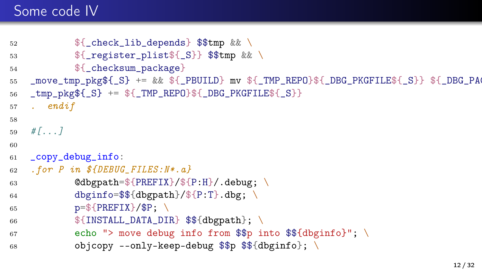## Some code IV

```
52 ${ check lib depends } $$tmp && \
53 ${ register plist${ S}} $$tmp && \
54 ${ checksum package}
55 _move_tmp_pkg${_S} += && ${_PBUILD} mv ${_TMP_REPO}${_DBG_PKGFILE${_S}} ${_DBG_PAC
56 tmp\_pkg{S} += {TMP\_REPO}{S}[DBG_PKGTLE{S}}
57 . endif
58
59 \quad # \, \ldots \, \}6061 _copy_debug_info:
62 . for P in ${DEBUG_FILES:N*.a}
63 @dbgpath=\frac{2}{PREFIX}/\frac{2}{P:H}/.debug; \
64 dbginfo=$${dbgpath}/${P:T}.dbg; \
65 p=${PREFIX}/$P; \
66 ${INSTALL_DATA_DIR} $${dbgpath}; \
67 echo "> move debug info from \pmb{\Rightarrow} into \pmb{\Rightarrow} {dbginfo}"; \
68 			 objcopy --only-keep-debug \$\$ \$\{dbginfo\};\ \
```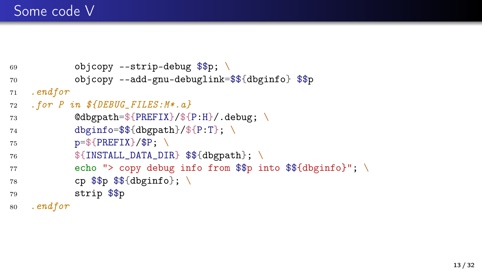```
69 objcopy --strip-debug $$p; \
70 objcopy --add-gnu-debuglink=$${dbginfo} $$p
71 .endfor
72 . for P in $fDEBUG FILES: M*.a}
73 @dbgpath=${PREFIX}/${P:H}/.debug; \
74 dbginfo=$${dbgpath}/${P:T}; \
75 p=\frac{2}{3}[PREFIX}/$P; \
76 ${INSTALL_DATA_DIR} $${dbgpath}; \
77 echo "> copy debug info from $$p into $${dbginfo}"; \
78 cp \$\$ \$\ \{\text{dbginfo}\}\; \
79 strip $$p
80 .endfor
```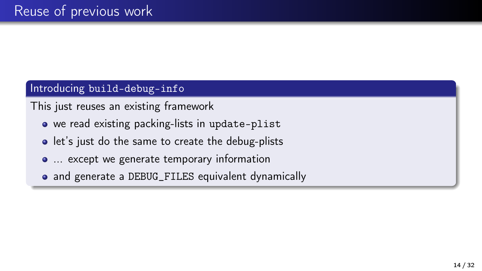### Introducing build-debug-info

This just reuses an existing framework

- we read existing packing-lists in update-plist
- let's just do the same to create the debug-plists
- ... except we generate temporary information
- and generate a DEBUG\_FILES equivalent dynamically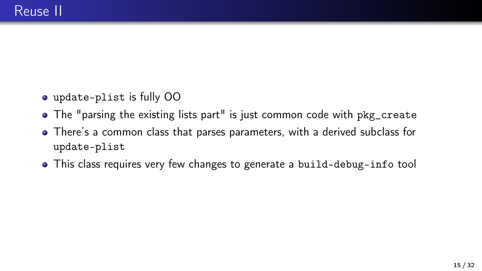- update-plist is fully OO
- The "parsing the existing lists part" is just common code with pkg\_create
- There's a common class that parses parameters, with a derived subclass for update-plist
- This class requires very few changes to generate a build-debug-info tool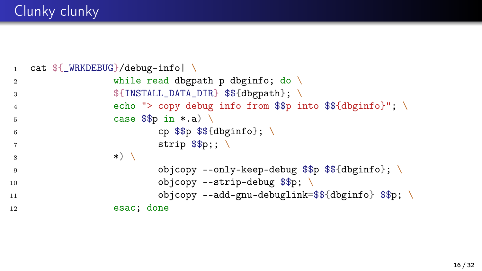# Clunky clunky

```
1 cat f_{\text{WRKDEBUG}}/debug\_info2 while read dbgpath p dbginfo; do \setminus3    ${INSTALL_DATA_DIR} $${dbgpath}; \
 4 echo "> copy debug info from $$p into $${dbginfo}"; \
 5 \t\t \text{case } $$p in *a)6 cp \frac{1}{2} cp \frac{1}{2} \frac{1}{2} cp \frac{1}{2} \frac{1}{2} \frac{1}{2} \frac{1}{2} \frac{1}{2} \frac{1}{2} \frac{1}{2} \frac{1}{2} \frac{1}{2} \frac{1}{2} \frac{1}{2} \frac{1}{2} \frac{1}{2} \frac{1}{2} \frac{1}{2} \frac{1}{2} \frac{1}{2} \frac{1}{2} 
 7 \quad strip \$\mathfrak{sp}}; \
\begin{array}{ccc} 8 & & & \end{array} \begin{array}{ccc} \ast & \end{array}9 objcopy --only-keep-debug $$p $${dbginfo}; \
10 objcopy --strip-debug $$p;
11 objcopy --add-gnu-debuglink=$${dbginfo} $$p;
12 esac; done
```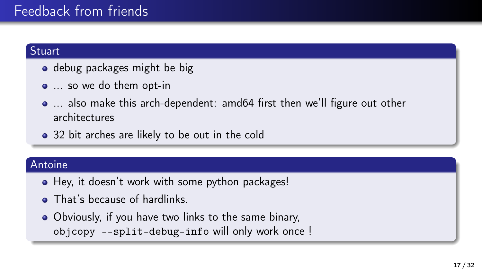## Feedback from friends

#### **Stuart**

- debug packages might be big
- ... so we do them opt-in
- ... also make this arch-dependent: amd64 first then we'll figure out other architectures
- 32 bit arches are likely to be out in the cold

#### Antoine

- Hey, it doesn't work with some python packages!
- That's because of hardlinks.
- Obviously, if you have two links to the same binary, objcopy --split-debug-info will only work once !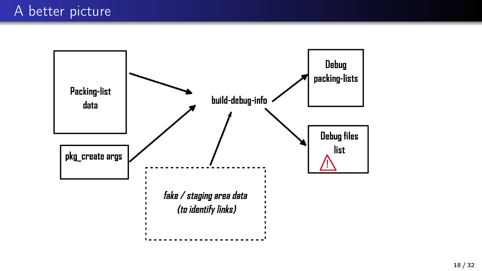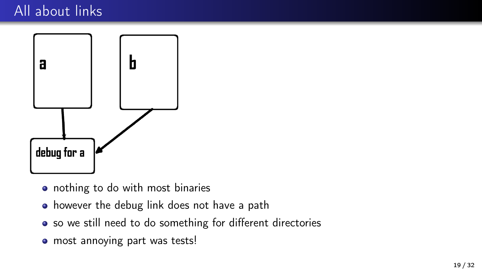### All about links



- nothing to do with most binaries
- however the debug link does not have a path
- so we still need to do something for different directories
- most annoying part was tests!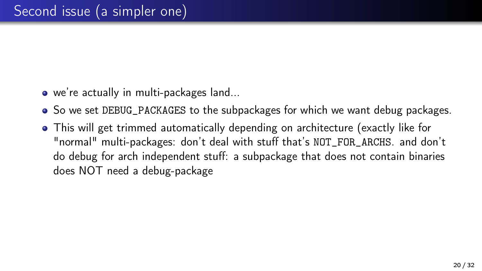- we're actually in multi-packages land...
- So we set DEBUG\_PACKAGES to the subpackages for which we want debug packages.
- This will get trimmed automatically depending on architecture (exactly like for "normal" multi-packages: don't deal with stuff that's NOT\_FOR\_ARCHS. and don't do debug for arch independent stuff: a subpackage that does not contain binaries does NOT need a debug-package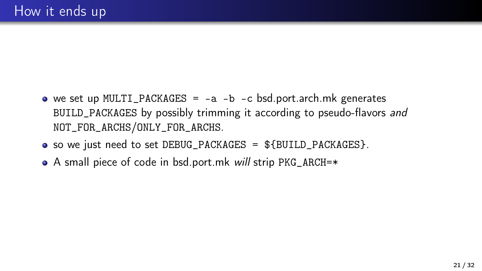- we set up MULTI\_PACKAGES =  $-a b c$  bsd.port.arch.mk generates BUILD\_PACKAGES by possibly trimming it according to pseudo-flavors and NOT\_FOR\_ARCHS/ONLY\_FOR\_ARCHS.
- so we just need to set DEBUG\_PACKAGES = \${BUILD\_PACKAGES}.
- A small piece of code in bsd.port.mk will strip PKG\_ARCH=\*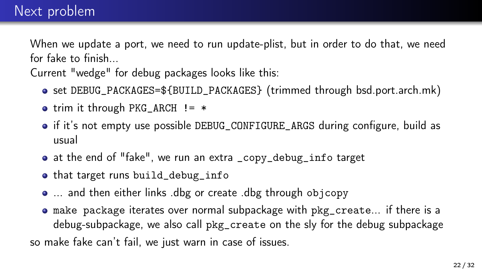When we update a port, we need to run update-plist, but in order to do that, we need for fake to finish...

Current "wedge" for debug packages looks like this:

- set DEBUG\_PACKAGES=\${BUILD\_PACKAGES} (trimmed through bsd.port.arch.mk)
- trim it through PKG ARCH  $!=$  \*
- if it's not empty use possible DEBUG\_CONFIGURE\_ARGS during configure, build as usual
- at the end of "fake", we run an extra \_copy\_debug\_info target
- that target runs build\_debug\_info
- ... and then either links .dbg or create .dbg through objcopy
- make package iterates over normal subpackage with pkg\_create... if there is a debug-subpackage, we also call pkg\_create on the sly for the debug subpackage so make fake can't fail, we just warn in case of issues.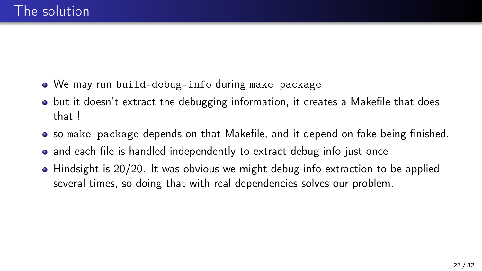- We may run build-debug-info during make package
- but it doesn't extract the debugging information, it creates a Makefile that does that !
- so make package depends on that Makefile, and it depend on fake being finished.
- and each file is handled independently to extract debug info just once
- Hindsight is 20/20. It was obvious we might debug-info extraction to be applied several times, so doing that with real dependencies solves our problem.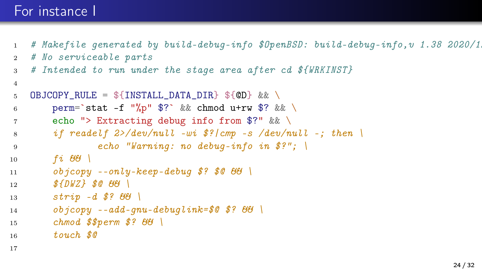### For instance I

4

17

- $1$  # Makefile generated by build-debug-info \$0penBSD: build-debug-info, v 1.38 2020/1.
- <sup>2</sup> # No serviceable parts
- <sup>3</sup> # Intended to run under the stage area after cd \${WRKINST}

```
5 OBJCOPY_RULE = \frac{1}{2} [INSTALL_DATA_DIR} \frac{1}{2} (OD) && \
6 perm=`stat -f "%p" $?` && chmod u+rw $? && \
7 echo "> Extracting debug info from $?" && \
8 if readelf 2>/dev/null -wi \frac{\$}{2}/cmp -s /dev/null -; then
9 echo "Warning: no debug-info in $?"; \
10 fi 6611 objcopy --only-keep-debug $? $0 && \
12 $ {DWZ} $ @ {G}G \13 strip -d \oint? \theta \theta \
14 objcopy -\alpha dd-qnu-debuglink=\frac{6}{3} \frac{8}{3} \frac{8}{6}15 chmod $%perm $? 66 \
16 touch $@
```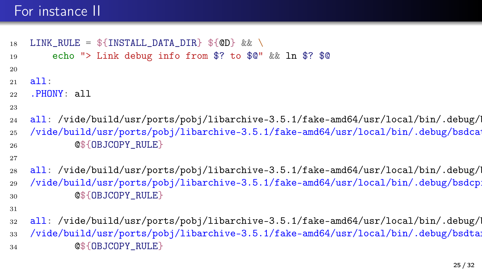### For instance II

```
18 LINK_RULE = f[INSTALL_DATA_L] f[CD] & \
19 echo "> Link debug info from $? to $@" && ln $? $@
20
21 - 211:
22 .PHONY: all
23
24 all: /vide/build/usr/ports/pobj/libarchive-3.5.1/fake-amd64/usr/local/bin/.debug/
25 /vide/build/usr/ports/pobj/libarchive-3.5.1/fake-amd64/usr/local/bin/.debug/bsdcat
26 @${OBJCOPY_RULE}
27
28 all: /vide/build/usr/ports/pobj/libarchive-3.5.1/fake-amd64/usr/local/bin/.debug/
29 /vide/build/usr/ports/pobj/libarchive-3.5.1/fake-amd64/usr/local/bin/.debug/bsdcpi
30 @${OBJCOPY_RULE}
31
32 all: /vide/build/usr/ports/pobj/libarchive-3.5.1/fake-amd64/usr/local/bin/.debug/l
```
33 /vide/build/usr/ports/pobj/libarchive-3.5.1/fake-amd64/usr/local/bin/.debug/bsdtar 34 **@\${OBJCOPY\_RULE}**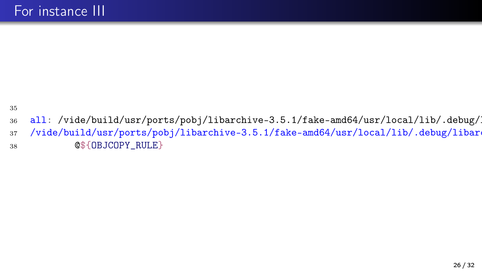35

36 all: /vide/build/usr/ports/pobj/libarchive-3.5.1/fake-amd64/usr/local/lib/.debug/

37 /vide/build/usr/ports/pobj/libarchive-3.5.1/fake-amd64/usr/local/lib/.debug/libarc <sup>38</sup> @\${OBJCOPY\_RULE}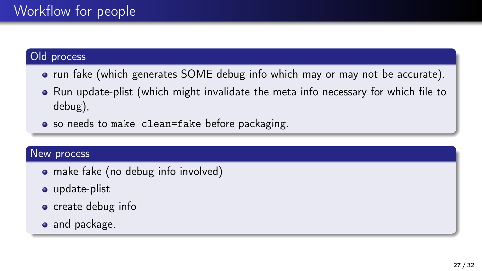#### Old process

- run fake (which generates SOME debug info which may or may not be accurate).
- Run update-plist (which might invalidate the meta info necessary for which file to debug),
- so needs to make clean=fake before packaging.

#### New process

- make fake (no debug info involved)
- o update-plist
- create debug info
- and package.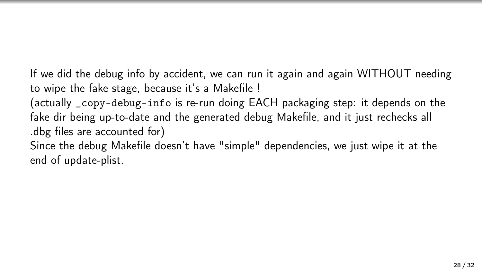If we did the debug info by accident, we can run it again and again WITHOUT needing to wipe the fake stage, because it's a Makefile !

(actually \_copy-debug-info is re-run doing EACH packaging step: it depends on the fake dir being up-to-date and the generated debug Makefile, and it just rechecks all .dbg files are accounted for)

Since the debug Makefile doesn't have "simple" dependencies, we just wipe it at the end of update-plist.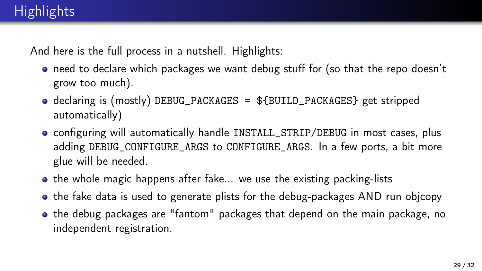And here is the full process in a nutshell. Highlights:

- need to declare which packages we want debug stuff for (so that the repo doesn't grow too much).
- $\bullet$  declaring is (mostly) DEBUG\_PACKAGES =  $$$ {BUILD\_PACKAGES} get stripped automatically)
- configuring will automatically handle INSTALL\_STRIP/DEBUG in most cases, plus adding DEBUG\_CONFIGURE\_ARGS to CONFIGURE\_ARGS. In a few ports, a bit more glue will be needed.
- $\bullet$  the whole magic happens after fake... we use the existing packing-lists
- the fake data is used to generate plists for the debug-packages AND run objcopy
- the debug packages are "fantom" packages that depend on the main package, no independent registration.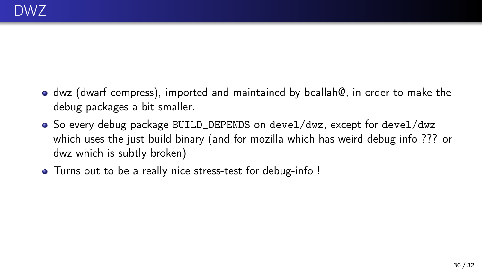- dwz (dwarf compress), imported and maintained by bcallah@, in order to make the debug packages a bit smaller.
- $\bullet$  So every debug package BUILD\_DEPENDS on devel/dwz, except for devel/dwz which uses the just build binary (and for mozilla which has weird debug info ??? or dwz which is subtly broken)
- Turns out to be a really nice stress-test for debug-info !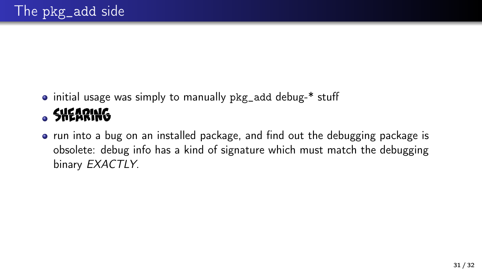- initial usage was simply to manually pkg\_add debug-\* stuff **SHEARING**
- run into a bug on an installed package, and find out the debugging package is obsolete: debug info has a kind of signature which must match the debugging binary EXACTLY.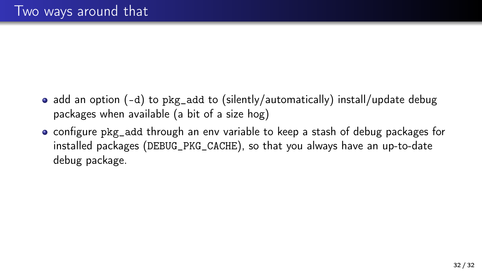- add an option (-d) to pkg\_add to (silently/automatically) install/update debug packages when available (a bit of a size hog)
- configure pkg\_add through an env variable to keep a stash of debug packages for installed packages (DEBUG\_PKG\_CACHE), so that you always have an up-to-date debug package.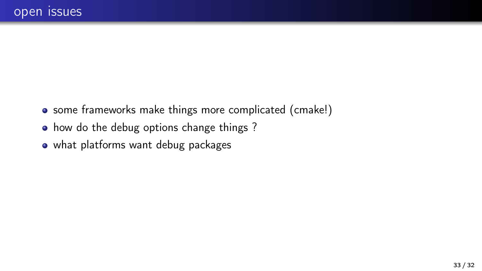- some frameworks make things more complicated (cmake!)
- how do the debug options change things ?
- what platforms want debug packages